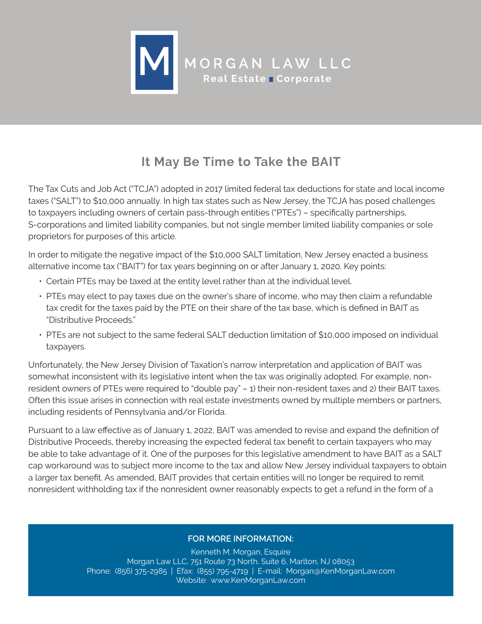

## **It May Be Time to Take the BAIT**

The Tax Cuts and Job Act ("TCJA") adopted in 2017 limited federal tax deductions for state and local income taxes ("SALT") to \$10,000 annually. In high tax states such as New Jersey, the TCJA has posed challenges to taxpayers including owners of certain pass-through entities ("PTEs") – specifically partnerships, S-corporations and limited liability companies, but not single member limited liability companies or sole proprietors for purposes of this article.

In order to mitigate the negative impact of the \$10,000 SALT limitation, New Jersey enacted a business alternative income tax ("BAIT") for tax years beginning on or after January 1, 2020. Key points:

- Certain PTEs may be taxed at the entity level rather than at the individual level.
- PTEs may elect to pay taxes due on the owner's share of income, who may then claim a refundable tax credit for the taxes paid by the PTE on their share of the tax base, which is defined in BAIT as "Distributive Proceeds."
- PTEs are not subject to the same federal SALT deduction limitation of \$10,000 imposed on individual taxpayers.

Unfortunately, the New Jersey Division of Taxation's narrow interpretation and application of BAIT was somewhat inconsistent with its legislative intent when the tax was originally adopted. For example, nonresident owners of PTEs were required to "double pay" – 1) their non-resident taxes and 2) their BAIT taxes. Often this issue arises in connection with real estate investments owned by multiple members or partners, including residents of Pennsylvania and/or Florida.

Pursuant to a law effective as of January 1, 2022, BAIT was amended to revise and expand the definition of Distributive Proceeds, thereby increasing the expected federal tax benefit to certain taxpayers who may be able to take advantage of it. One of the purposes for this legislative amendment to have BAIT as a SALT cap workaround was to subject more income to the tax and allow New Jersey individual taxpayers to obtain a larger tax benefit. As amended, BAIT provides that certain entities will no longer be required to remit nonresident withholding tax if the nonresident owner reasonably expects to get a refund in the form of a

## **FOR MORE INFORMATION:**

Kenneth M. Morgan, Esquire Morgan Law LLC, 751 Route 73 North, Suite 6, Marlton, NJ 08053 Phone: (856) 375-2985 | Efax: (855) 795-4719 | E-mail: [Morgan@KenMorganLaw.com](mailto:Morgan@KenMorganLaw.com) Website: [www.KenMorganLaw.com](http://www.kenmorganlaw.com/)